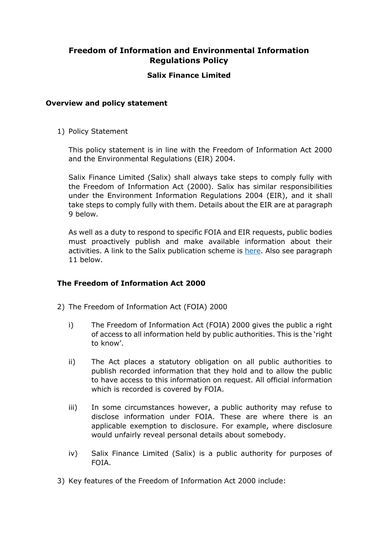# **Freedom of Information and Environmental Information Regulations Policy**

## **Salix Finance Limited**

### **Overview and policy statement**

1) Policy Statement

This policy statement is in line with the Freedom of Information Act 2000 and the Environmental Regulations (EIR) 2004.

Salix Finance Limited (Salix) shall always take steps to comply fully with the Freedom of Information Act (2000). Salix has similar responsibilities under the Environment Information Regulations 2004 (EIR), and it shall take steps to comply fully with them. Details about the EIR are at paragraph 9 below.

As well as a duty to respond to specific FOIA and EIR requests, public bodies must proactively publish and make available information about their activities. A link to the Salix publication scheme is [here.](https://www.salixfinance.co.uk/FOI_Act) Also see paragraph 11 below.

### **The Freedom of Information Act 2000**

- 2) The Freedom of Information Act (FOIA) 2000
	- i) The Freedom of Information Act (FOIA) 2000 gives the public a right of access to all information held by public authorities. This is the 'right to know'.
	- ii) The Act places a statutory obligation on all public authorities to publish recorded information that they hold and to allow the public to have access to this information on request. All official information which is recorded is covered by FOIA.
	- iii) In some circumstances however, a public authority may refuse to disclose information under FOIA. These are where there is an applicable exemption to disclosure. For example, where disclosure would unfairly reveal personal details about somebody.
	- iv) Salix Finance Limited (Salix) is a public authority for purposes of FOIA.
- 3) Key features of the Freedom of Information Act 2000 include: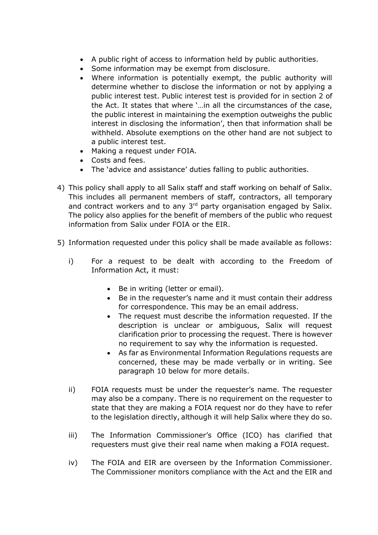- A public right of access to information held by public authorities.
- Some information may be exempt from disclosure.
- Where information is potentially exempt, the public authority will determine whether to disclose the information or not by applying a public interest test. Public interest test is provided for in section 2 of the Act. It states that where '…in all the circumstances of the case, the public interest in maintaining the exemption outweighs the public interest in disclosing the information', then that information shall be withheld. Absolute exemptions on the other hand are not subject to a public interest test.
- Making a request under FOIA.
- Costs and fees.
- The 'advice and assistance' duties falling to public authorities.
- 4) This policy shall apply to all Salix staff and staff working on behalf of Salix. This includes all permanent members of staff, contractors, all temporary and contract workers and to any 3<sup>rd</sup> party organisation engaged by Salix. The policy also applies for the benefit of members of the public who request information from Salix under FOIA or the EIR.
- 5) Information requested under this policy shall be made available as follows:
	- i) For a request to be dealt with according to the Freedom of Information Act, it must:
		- Be in writing (letter or email).
		- Be in the requester's name and it must contain their address for correspondence. This may be an email address.
		- The request must describe the information requested. If the description is unclear or ambiguous, Salix will request clarification prior to processing the request. There is however no requirement to say why the information is requested.
		- As far as Environmental Information Regulations requests are concerned, these may be made verbally or in writing. See paragraph 10 below for more details.
	- ii) FOIA requests must be under the requester's name. The requester may also be a company. There is no requirement on the requester to state that they are making a FOIA request nor do they have to refer to the legislation directly, although it will help Salix where they do so.
	- iii) The Information Commissioner's Office (ICO) has clarified that requesters must give their real name when making a FOIA request.
	- iv) The FOIA and EIR are overseen by the Information Commissioner. The Commissioner monitors compliance with the Act and the EIR and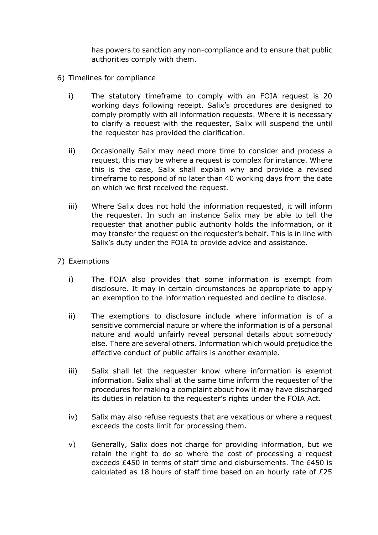has powers to sanction any non-compliance and to ensure that public authorities comply with them.

- 6) Timelines for compliance
	- i) The statutory timeframe to comply with an FOIA request is 20 working days following receipt. Salix's procedures are designed to comply promptly with all information requests. Where it is necessary to clarify a request with the requester, Salix will suspend the until the requester has provided the clarification.
	- ii) Occasionally Salix may need more time to consider and process a request, this may be where a request is complex for instance. Where this is the case, Salix shall explain why and provide a revised timeframe to respond of no later than 40 working days from the date on which we first received the request.
	- iii) Where Salix does not hold the information requested, it will inform the requester. In such an instance Salix may be able to tell the requester that another public authority holds the information, or it may transfer the request on the requester's behalf. This is in line with Salix's duty under the FOIA to provide advice and assistance.
- 7) Exemptions
	- i) The FOIA also provides that some information is exempt from disclosure. It may in certain circumstances be appropriate to apply an exemption to the information requested and decline to disclose.
	- ii) The exemptions to disclosure include where information is of a sensitive commercial nature or where the information is of a personal nature and would unfairly reveal personal details about somebody else. There are several others. Information which would prejudice the effective conduct of public affairs is another example.
	- iii) Salix shall let the requester know where information is exempt information. Salix shall at the same time inform the requester of the procedures for making a complaint about how it may have discharged its duties in relation to the requester's rights under the FOIA Act.
	- iv) Salix may also refuse requests that are vexatious or where a request exceeds the costs limit for processing them.
	- v) Generally, Salix does not charge for providing information, but we retain the right to do so where the cost of processing a request exceeds £450 in terms of staff time and disbursements. The £450 is calculated as 18 hours of staff time based on an hourly rate of £25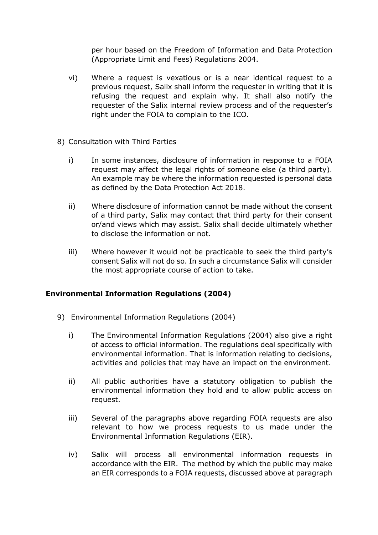per hour based on the Freedom of Information and Data Protection (Appropriate Limit and Fees) Regulations 2004.

- vi) Where a request is vexatious or is a near identical request to a previous request, Salix shall inform the requester in writing that it is refusing the request and explain why. It shall also notify the requester of the Salix internal review process and of the requester's right under the FOIA to complain to the ICO.
- 8) Consultation with Third Parties
	- i) In some instances, disclosure of information in response to a FOIA request may affect the legal rights of someone else (a third party). An example may be where the information requested is personal data as defined by the Data Protection Act 2018.
	- ii) Where disclosure of information cannot be made without the consent of a third party, Salix may contact that third party for their consent or/and views which may assist. Salix shall decide ultimately whether to disclose the information or not.
	- iii) Where however it would not be practicable to seek the third party's consent Salix will not do so. In such a circumstance Salix will consider the most appropriate course of action to take.

### **Environmental Information Regulations (2004)**

- 9) Environmental Information Regulations (2004)
	- i) The Environmental Information Regulations (2004) also give a right of access to official information. The regulations deal specifically with environmental information. That is information relating to decisions, activities and policies that may have an impact on the environment.
	- ii) All public authorities have a statutory obligation to publish the environmental information they hold and to allow public access on request.
	- iii) Several of the paragraphs above regarding FOIA requests are also relevant to how we process requests to us made under the Environmental Information Regulations (EIR).
	- iv) Salix will process all environmental information requests in accordance with the EIR. The method by which the public may make an EIR corresponds to a FOIA requests, discussed above at paragraph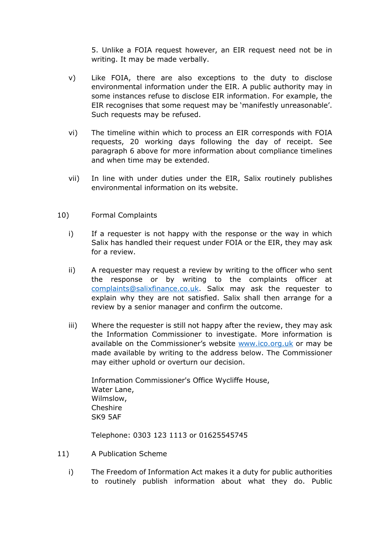5. Unlike a FOIA request however, an EIR request need not be in writing. It may be made verbally.

- v) Like FOIA, there are also exceptions to the duty to disclose environmental information under the EIR. A public authority may in some instances refuse to disclose EIR information. For example, the EIR recognises that some request may be 'manifestly unreasonable'. Such requests may be refused.
- vi) The timeline within which to process an EIR corresponds with FOIA requests, 20 working days following the day of receipt. See paragraph 6 above for more information about compliance timelines and when time may be extended.
- vii) In line with under duties under the EIR, Salix routinely publishes environmental information on its website.

### 10) Formal Complaints

- i) If a requester is not happy with the response or the way in which Salix has handled their request under FOIA or the EIR, they may ask for a review.
- ii) A requester may request a review by writing to the officer who sent the response or by writing to the complaints officer at [complaints@salixfinance.co.uk.](mailto:complaints@salixfinance.co.uk) Salix may ask the requester to explain why they are not satisfied. Salix shall then arrange for a review by a senior manager and confirm the outcome.
- iii) Where the requester is still not happy after the review, they may ask the Information Commissioner to investigate. More information is available on the Commissioner's website [www.ico.org.uk](http://www.ico.org.uk/) or may be made available by writing to the address below. The Commissioner may either uphold or overturn our decision.

Information Commissioner's Office Wycliffe House, Water Lane, Wilmslow, Cheshire SK9 5AF

Telephone: 0303 123 1113 or 01625545745

- 11) A Publication Scheme
	- i) The Freedom of Information Act makes it a duty for public authorities to routinely publish information about what they do. Public